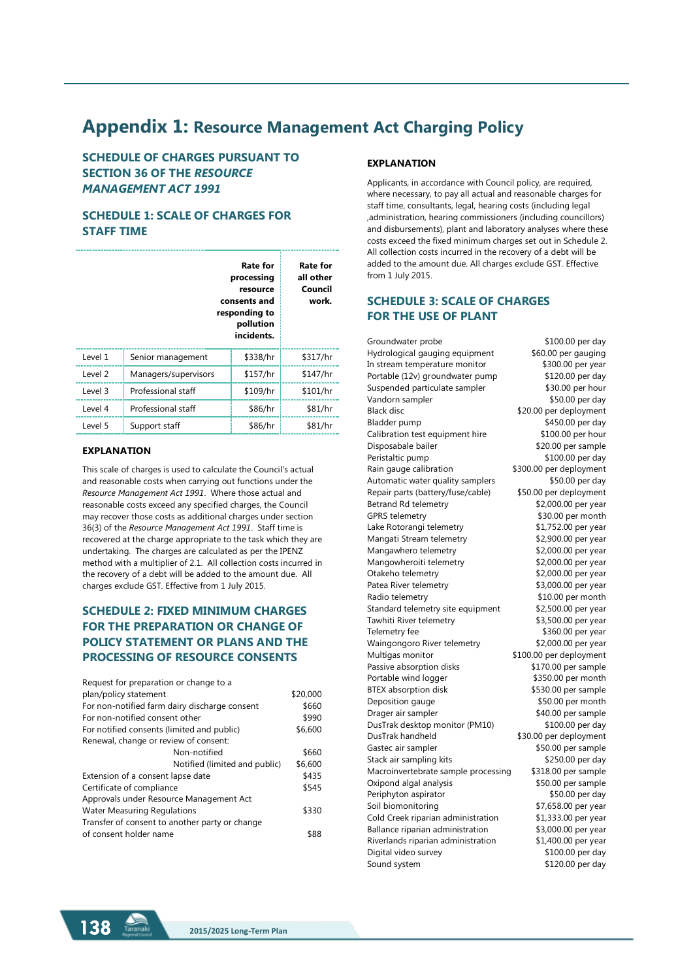# **Appendix 1: Resource Management Act Charging Policy**

**SCHEDULE OF CHARGES PURSUANT TO SECTION 36 OF THE** *RESOURCE MANAGEMENT ACT 1991*

# **SCHEDULE 1: SCALE OF CHARGES FOR STAFF TIME**

|         |                      | Rate for<br>processing<br>resource<br>consents and<br>responding to<br>pollution<br>incidents. | <b>Rate for</b><br>all other<br>Council<br>work. |
|---------|----------------------|------------------------------------------------------------------------------------------------|--------------------------------------------------|
| Level 1 | Senior management    | \$338/hr                                                                                       | \$317/hr                                         |
| Level 2 | Managers/supervisors | \$157/hr                                                                                       | \$147/hr                                         |
| Level 3 | Professional staff   | \$109/hr                                                                                       | \$101/hr                                         |
| Level 4 | Professional staff   | \$86/hr                                                                                        | \$81/hr                                          |
| Level 5 | Support staff        | \$86/hr                                                                                        | \$81/hr                                          |

### **EXPLANATION**

This scale of charges is used to calculate the Council's actual and reasonable costs when carrying out functions under the *Resource Management Act 1991*. Where those actual and reasonable costs exceed any specified charges, the Council may recover those costs as additional charges under section 36(3) of the *Resource Management Act 1991*. Staff time is recovered at the charge appropriate to the task which they are undertaking. The charges are calculated as per the IPENZ method with a multiplier of 2.1. All collection costs incurred in the recovery of a debt will be added to the amount due. All charges exclude GST. Effective from 1 July 2015.

# **SCHEDULE 2: FIXED MINIMUM CHARGES FOR THE PREPARATION OR CHANGE OF POLICY STATEMENT OR PLANS AND THE PROCESSING OF RESOURCE CONSENTS**

| Request for preparation or change to a         |          |
|------------------------------------------------|----------|
| plan/policy statement                          | \$20,000 |
| For non-notified farm dairy discharge consent  | \$660    |
| For non-notified consent other                 | \$990    |
| For notified consents (limited and public)     | \$6,600  |
| Renewal, change or review of consent:          |          |
| Non-notified                                   | \$660    |
| Notified (limited and public)                  | \$6,600  |
| Extension of a consent lapse date              | \$435    |
| Certificate of compliance                      | \$545    |
| Approvals under Resource Management Act        |          |
| <b>Water Measuring Regulations</b>             | \$330    |
| Transfer of consent to another party or change |          |
| of consent holder name                         | 88       |
|                                                |          |

### **EXPLANATION**

Applicants, in accordance with Council policy, are required, where necessary, to pay all actual and reasonable charges for staff time, consultants, legal, hearing costs (including legal ,administration, hearing commissioners (including councillors) and disbursements), plant and laboratory analyses where these costs exceed the fixed minimum charges set out in Schedule 2. All collection costs incurred in the recovery of a debt will be added to the amount due. All charges exclude GST. Effective from 1 July 2015.

## **SCHEDULE 3: SCALE OF CHARGES FOR THE USE OF PLANT**

Groundwater probe \$100.00 per day Hydrological gauging equipment \$60.00 per gauging In stream temperature monitor \$300.00 per year Portable (12v) groundwater pump \$120.00 per day Suspended particulate sampler \$30.00 per hour Vandorn sampler  $$50.00$  per day Black disc  $$20.00$  per deployment Bladder pump \$450.00 per day Calibration test equipment hire \$100.00 per hour Disposabale bailer \$20.00 per sample Peristaltic pump \$100.00 per day Rain gauge calibration \$300.00 per deployment Automatic water quality samplers \$50.00 per day Repair parts (battery/fuse/cable) \$50.00 per deployment Betrand Rd telemetry \$2,000.00 per year GPRS telemetry \$30.00 per month Lake Rotorangi telemetry  $$1,752.00$  per year Mangati Stream telemetry \$2,900.00 per year Mangawhero telemetry  $$2,000.00$  per year Mangowheroiti telemetry \$2,000.00 per year Otakeho telemetry \$2,000.00 per year Patea River telemetry 63,000.00 per year Radio telemetry 610.00 per month Standard telemetry site equipment \$2,500.00 per year Tawhiti River telemetry 63,500.00 per year Telemetry fee \$360.00 per year Waingongoro River telemetry \$2,000.00 per year Multigas monitor  $$100.00$  per deployment Passive absorption disks \$170.00 per sample Portable wind logger \$350.00 per month BTEX absorption disk \$530.00 per sample Deposition gauge \$50.00 per month Drager air sampler \$40.00 per sample DusTrak desktop monitor (PM10) \$100.00 per day DusTrak handheld \$30.00 per deployment Gastec air sampler \$50.00 per sample Stack air sampling kits \$250.00 per day Macroinvertebrate sample processing \$318.00 per sample Oxipond algal analysis \$50.00 per sample Periphyton aspirator  $$50.00$  per day Soil biomonitoring \$7,658.00 per year Cold Creek riparian administration \$1,333.00 per year Ballance riparian administration \$3,000.00 per year Riverlands riparian administration \$1,400.00 per year Digital video survey \$100.00 per day Sound system \$120.00 per day

**138 Iaranaki 2015/2025 Long-Term Plan**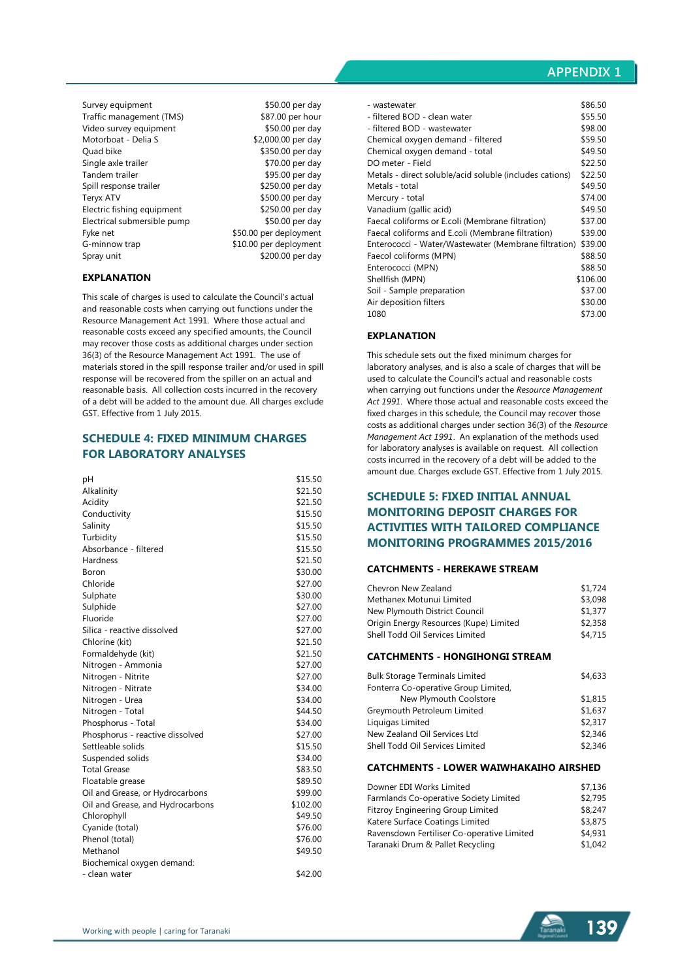### **APPENDIX 1**

Survey equipment \$50.00 per day Traffic management (TMS) \$87.00 per hour Video survey equipment  $$50.00$  per day<br>Motorboat - Delia S  $$2,000.00$  per day Motorboat - Delia S Ouad bike \$350.00 per day Single axle trailer \$70.00 per day<br>Tandem trailer \$95.00 per day Spill response trailer \$250.00 per day Teryx ATV<br>Electric fishing equipment \$250.00 per day Electric fishing equipment Electrical submersible pump \$50.00 per day Fyke net  $$50.00$  per deployment G-minnow trap \$10.00 per deployment Spray unit \$200.00 per day

 $$95.00$  per day

### **EXPLANATION**

This scale of charges is used to calculate the Council's actual and reasonable costs when carrying out functions under the Resource Management Act 1991. Where those actual and reasonable costs exceed any specified amounts, the Council may recover those costs as additional charges under section 36(3) of the Resource Management Act 1991. The use of materials stored in the spill response trailer and/or used in spill response will be recovered from the spiller on an actual and reasonable basis. All collection costs incurred in the recovery of a debt will be added to the amount due. All charges exclude GST. Effective from 1 July 2015.

### **SCHEDULE 4: FIXED MINIMUM CHARGES FOR LABORATORY ANALYSES**

| рH                               | \$15.50  |
|----------------------------------|----------|
| Alkalinity                       | \$21.50  |
| Acidity                          | \$21.50  |
| Conductivity                     | \$15.50  |
| Salinity                         | \$15.50  |
| Turbidity                        | \$15.50  |
| Absorbance - filtered            | \$15.50  |
| Hardness                         | \$21.50  |
| Boron                            | \$30.00  |
| Chloride                         | \$27.00  |
| Sulphate                         | \$30.00  |
| Sulphide                         | \$27.00  |
| Fluoride                         | \$27.00  |
| Silica - reactive dissolved      | \$27.00  |
| Chlorine (kit)                   | \$21.50  |
| Formaldehyde (kit)               | \$21.50  |
| Nitrogen - Ammonia               | \$27.00  |
| Nitrogen - Nitrite               | \$27.00  |
| Nitrogen - Nitrate               | \$34.00  |
| Nitrogen - Urea                  | \$34.00  |
| Nitrogen - Total                 | \$44.50  |
| Phosphorus - Total               | \$34.00  |
| Phosphorus - reactive dissolved  | \$27.00  |
| Settleable solids                | \$15.50  |
| Suspended solids                 | \$34.00  |
| <b>Total Grease</b>              | \$83.50  |
| Floatable grease                 | \$89.50  |
| Oil and Grease, or Hydrocarbons  | \$99.00  |
| Oil and Grease, and Hydrocarbons | \$102.00 |
| Chlorophyll                      | \$49.50  |
| Cyanide (total)                  | \$76.00  |
| Phenol (total)                   | \$76.00  |
| Methanol                         | \$49.50  |
| Biochemical oxygen demand:       |          |
| - clean water                    | \$42.00  |

| - wastewater                                            | \$86.50  |
|---------------------------------------------------------|----------|
| - filtered BOD - clean water                            | \$55.50  |
| - filtered BOD - wastewater                             | \$98.00  |
| Chemical oxygen demand - filtered                       | \$59.50  |
| Chemical oxygen demand - total                          | \$49.50  |
| DO meter - Field                                        | \$22.50  |
| Metals - direct soluble/acid soluble (includes cations) | \$22.50  |
| Metals - total                                          | \$49.50  |
| Mercury - total                                         | \$74.00  |
| Vanadium (gallic acid)                                  | \$49.50  |
| Faecal coliforms or E.coli (Membrane filtration)        | \$37.00  |
| Faecal coliforms and E.coli (Membrane filtration)       | \$39.00  |
| Enterococci - Water/Wastewater (Membrane filtration)    | \$39.00  |
| Faecol coliforms (MPN)                                  | \$88.50  |
| Enterococci (MPN)                                       | \$88.50  |
| Shellfish (MPN)                                         | \$106.00 |
| Soil - Sample preparation                               | \$37.00  |
| Air deposition filters                                  | \$30.00  |
| 1080                                                    | \$73.00  |

### **EXPLANATION**

This schedule sets out the fixed minimum charges for laboratory analyses, and is also a scale of charges that will be used to calculate the Council's actual and reasonable costs when carrying out functions under the *Resource Management Act 1991*. Where those actual and reasonable costs exceed the fixed charges in this schedule, the Council may recover those costs as additional charges under section 36(3) of the *Resource Management Act 1991*. An explanation of the methods used for laboratory analyses is available on request. All collection costs incurred in the recovery of a debt will be added to the amount due. Charges exclude GST. Effective from 1 July 2015.

# **SCHEDULE 5: FIXED INITIAL ANNUAL MONITORING DEPOSIT CHARGES FOR ACTIVITIES WITH TAILORED COMPLIANCE MONITORING PROGRAMMES 2015/2016**

### **CATCHMENTS - HEREKAWE STREAM**

| Chevron New Zealand                    | \$1,724 |
|----------------------------------------|---------|
| Methanex Motunui Limited               | \$3,098 |
| New Plymouth District Council          | \$1,377 |
| Origin Energy Resources (Kupe) Limited | \$2,358 |
| Shell Todd Oil Services Limited        | \$4,715 |
|                                        |         |

### **CATCHMENTS - HONGIHONGI STREAM**

| <b>Bulk Storage Terminals Limited</b> | \$4,633 |
|---------------------------------------|---------|
| Fonterra Co-operative Group Limited,  |         |
| New Plymouth Coolstore                | \$1,815 |
| Greymouth Petroleum Limited           | \$1,637 |
| Liquigas Limited                      | \$2,317 |
| New Zealand Oil Services Ltd          | \$2,346 |
| Shell Todd Oil Services Limited       | \$2,346 |

#### **CATCHMENTS - LOWER WAIWHAKAIHO AIRSHED**

| Downer EDI Works Limited                   | \$7.136 |
|--------------------------------------------|---------|
| Farmlands Co-operative Society Limited     | \$2.795 |
| <b>Fitzroy Engineering Group Limited</b>   | \$8,247 |
| Katere Surface Coatings Limited            | \$3,875 |
| Ravensdown Fertiliser Co-operative Limited | \$4,931 |
| Taranaki Drum & Pallet Recycling           | \$1,042 |

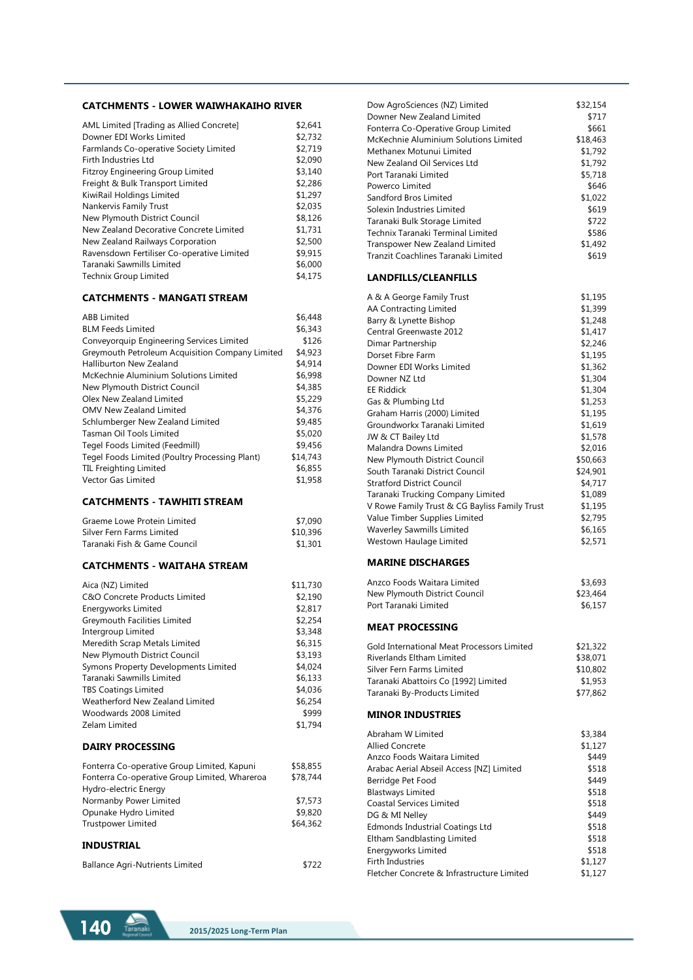### **CATCHMENTS - LOWER WAIWHAKAIHO RIVER**

| AML Limited [Trading as Allied Concrete]   | \$2,641 |
|--------------------------------------------|---------|
|                                            |         |
| Downer EDI Works Limited                   | \$2,732 |
| Farmlands Co-operative Society Limited     | \$2,719 |
| Firth Industries Ltd                       | \$2,090 |
| <b>Fitzroy Engineering Group Limited</b>   | \$3,140 |
| Freight & Bulk Transport Limited           | \$2,286 |
| KiwiRail Holdings Limited                  | \$1,297 |
| Nankervis Family Trust                     | \$2,035 |
| New Plymouth District Council              | \$8,126 |
| New Zealand Decorative Concrete Limited    | \$1,731 |
| New Zealand Railways Corporation           | \$2,500 |
| Ravensdown Fertiliser Co-operative Limited | \$9,915 |
| Taranaki Sawmills Limited                  | \$6,000 |
| Technix Group Limited                      | \$4,175 |
|                                            |         |

### **CATCHMENTS - MANGATI STREAM**

| \$6,448  |
|----------|
| \$6,343  |
| \$126    |
| \$4,923  |
| \$4,914  |
| \$6.998  |
| \$4,385  |
| \$5,229  |
| \$4,376  |
| \$9.485  |
| \$5,020  |
| \$9,456  |
| \$14,743 |
| \$6.855  |
| \$1,958  |
|          |

### **CATCHMENTS - TAWHITI STREAM**

| Graeme Lowe Protein Limited  | \$7,090  |
|------------------------------|----------|
| Silver Fern Farms Limited    | \$10,396 |
| Taranaki Fish & Game Council | \$1,301  |

### **CATCHMENTS - WAITAHA STREAM**

| Aica (NZ) Limited                                                      | \$11,730 |
|------------------------------------------------------------------------|----------|
| C&O Concrete Products Limited                                          | \$2,190  |
| Energyworks Limited                                                    | \$2,817  |
| Greymouth Facilities Limited                                           | \$2,254  |
| Intergroup Limited                                                     | \$3,348  |
| Meredith Scrap Metals Limited                                          | \$6,315  |
| New Plymouth District Council                                          | \$3,193  |
| Symons Property Developments Limited                                   | \$4,024  |
| Taranaki Sawmills Limited                                              | \$6,133  |
| <b>TBS Coatings Limited</b>                                            | \$4,036  |
| Weatherford New Zealand Limited                                        | \$6,254  |
| Woodwards 2008 Limited                                                 | \$999    |
| Zelam Limited                                                          | \$1,794  |
| <b>DAIRY PROCESSING</b>                                                |          |
| Fonterra Co-operative Group Limited, Kapuni                            | \$58,855 |
| Fonterra Co-operative Group Limited, Whareroa<br>Hydro-electric Energy | \$78,744 |
| Normanby Power Limited                                                 | \$7,573  |
| Opunake Hydro Limited                                                  | \$9,820  |
| <b>Trustpower Limited</b>                                              | \$64,362 |
| <b>INDUSTRIAL</b>                                                      |          |
|                                                                        |          |

| <b>Ballance Agri-Nutrients Limited</b> | \$722 |  |
|----------------------------------------|-------|--|
|                                        |       |  |



| Dow AgroSciences (NZ) Limited                 | \$32,154 |
|-----------------------------------------------|----------|
| Downer New Zealand Limited                    | \$717    |
| Fonterra Co-Operative Group Limited           | \$661    |
| McKechnie Aluminium Solutions Limited         | \$18,463 |
| Methanex Motunui Limited                      | \$1,792  |
| New Zealand Oil Services Ltd                  | \$1,792  |
| Port Taranaki Limited                         | \$5,718  |
| Powerco Limited                               | \$646    |
| Sandford Bros Limited                         | \$1,022  |
| Solexin Industries Limited                    | \$619    |
| Taranaki Bulk Storage Limited                 | \$722    |
| Technix Taranaki Terminal Limited             | \$586    |
| <b>Transpower New Zealand Limited</b>         | \$1,492  |
| Tranzit Coachlines Taranaki Limited           | \$619    |
| <b>LANDFILLS/CLEANFILLS</b>                   |          |
| A & A George Family Trust                     | \$1,195  |
| AA Contracting Limited                        | \$1,399  |
| Barry & Lynette Bishop                        | \$1,248  |
| Central Greenwaste 2012                       | \$1,417  |
| Dimar Partnership                             | \$2,246  |
| Dorset Fibre Farm                             | \$1,195  |
| Downer EDI Works Limited                      | \$1,362  |
| Downer NZ Ltd                                 | \$1,304  |
| <b>EE Riddick</b>                             | \$1,304  |
| Gas & Plumbing Ltd                            | \$1,253  |
| Graham Harris (2000) Limited                  | \$1,195  |
| Groundworkx Taranaki Limited                  | \$1,619  |
| JW & CT Bailey Ltd                            | \$1,578  |
| Malandra Downs Limited                        | \$2,016  |
| New Plymouth District Council                 | \$50,663 |
| South Taranaki District Council               | \$24,901 |
| <b>Stratford District Council</b>             | \$4,717  |
| Taranaki Trucking Company Limited             | \$1,089  |
| V Rowe Family Trust & CG Bayliss Family Trust | \$1,195  |
| Value Timber Supplies Limited                 | \$2,795  |
| <b>Waverley Sawmills Limited</b>              | \$6,165  |
| Westown Haulage Limited                       | \$2,571  |
| <b>MARINE DISCHARGES</b>                      |          |
| Anzco Foods Waitara Limited                   | \$3,693  |
| New Plymouth District Council                 | \$23,464 |
| Port Taranaki Limited                         | \$6,157  |
| <b>MEAT PROCESSING</b>                        |          |
| Gold International Meat Processors Limited    | \$21,322 |
| <b>Riverlands Eltham Limited</b>              | \$38,071 |
| Silver Fern Farms Limited                     | \$10,802 |
| Taranaki Abattoirs Co [1992] Limited          | \$1,953  |
| Taranaki By-Products Limited                  | \$77,862 |
| <b>MINOR INDUSTRIES</b>                       |          |
| Abraham W Limited                             | \$3,384  |
| <b>Allied Concrete</b>                        | \$1,127  |
| Anzco Foods Waitara Limited                   | \$449    |
| Arabac Aerial Abseil Access [NZ] Limited      | \$518    |
| Berridge Pet Food                             | \$449    |
| <b>Blastways Limited</b>                      | \$518    |
| <b>Coastal Services Limited</b>               | \$518    |
| DG & MI Nelley                                | \$449    |
| Edmonds Industrial Coatings Ltd               | \$518    |
| Eltham Sandblasting Limited                   | \$518    |
| Energyworks Limited                           | \$518    |

Firth Industries \$1,127 Fletcher Concrete & Infrastructure Limited \$1,127

Energyworks Limited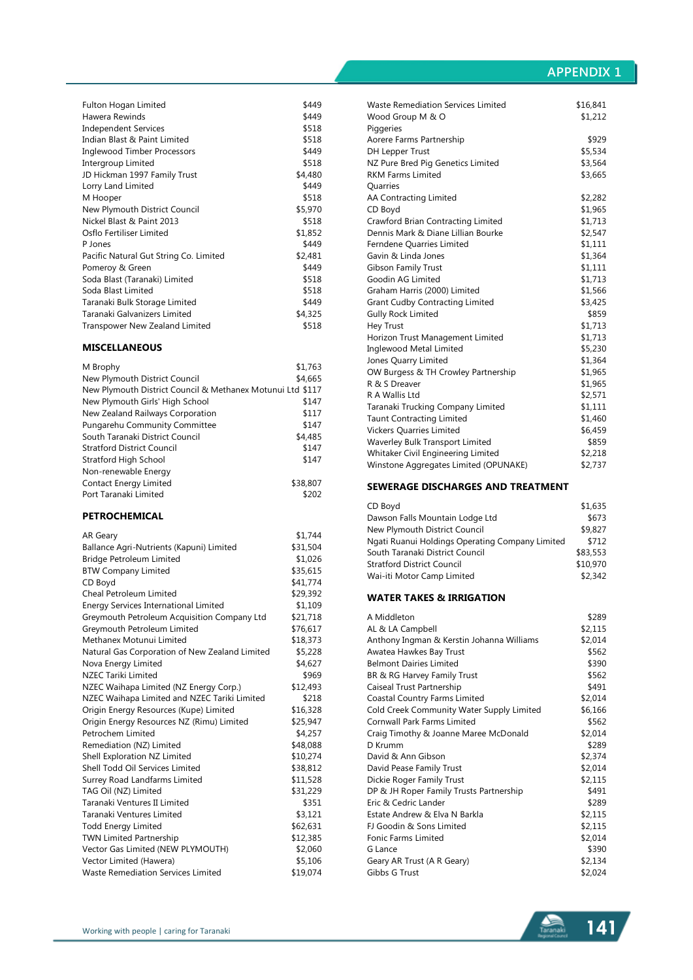# **APPENDIX 1**

| Fulton Hogan Limited                   | \$449   |
|----------------------------------------|---------|
| Hawera Rewinds                         | \$449   |
| <b>Independent Services</b>            | \$518   |
| Indian Blast & Paint Limited           | \$518   |
| Inglewood Timber Processors            | \$449   |
| Intergroup Limited                     | \$518   |
| JD Hickman 1997 Family Trust           | \$4,480 |
| Lorry Land Limited                     | \$449   |
| M Hooper                               | \$518   |
| New Plymouth District Council          | \$5,970 |
| Nickel Blast & Paint 2013              | \$518   |
| Osflo Fertiliser Limited               | \$1,852 |
| P Jones                                | \$449   |
| Pacific Natural Gut String Co. Limited | \$2,481 |
| Pomeroy & Green                        | \$449   |
| Soda Blast (Taranaki) Limited          | \$518   |
| Soda Blast Limited                     | \$518   |
| Taranaki Bulk Storage Limited          | \$449   |
| Taranaki Galvanizers Limited           | \$4,325 |
| Transpower New Zealand Limited         | \$518   |
|                                        |         |

### **MISCELLANEOUS**

| M Brophy                                                   | \$1,763  |
|------------------------------------------------------------|----------|
| New Plymouth District Council                              | \$4.665  |
| New Plymouth District Council & Methanex Motunui Ltd \$117 |          |
| New Plymouth Girls' High School                            | \$147    |
| New Zealand Railways Corporation                           | \$117    |
| Pungarehu Community Committee                              | \$147    |
| South Taranaki District Council                            | \$4,485  |
| <b>Stratford District Council</b>                          | \$147    |
| Stratford High School                                      | \$147    |
| Non-renewable Energy                                       |          |
| <b>Contact Energy Limited</b>                              | \$38,807 |
| Port Taranaki Limited                                      | \$202    |
|                                                            |          |

### **PETROCHEMICAL**

| AR Geary                                       | \$1,744  |
|------------------------------------------------|----------|
| Ballance Agri-Nutrients (Kapuni) Limited       | \$31,504 |
| Bridge Petroleum Limited                       | \$1,026  |
| <b>BTW Company Limited</b>                     | \$35,615 |
| CD Boyd                                        | \$41,774 |
| Cheal Petroleum Limited                        | \$29,392 |
| <b>Energy Services International Limited</b>   | \$1,109  |
| Greymouth Petroleum Acquisition Company Ltd    | \$21,718 |
| Greymouth Petroleum Limited                    | \$76,617 |
| Methanex Motunui Limited                       | \$18,373 |
| Natural Gas Corporation of New Zealand Limited | \$5,228  |
| Nova Energy Limited                            | \$4,627  |
| <b>NZEC Tariki Limited</b>                     | \$969    |
| NZEC Waihapa Limited (NZ Energy Corp.)         | \$12,493 |
| NZEC Waihapa Limited and NZEC Tariki Limited   | \$218    |
| Origin Energy Resources (Kupe) Limited         | \$16,328 |
| Origin Energy Resources NZ (Rimu) Limited      | \$25,947 |
| Petrochem Limited                              | \$4,257  |
| Remediation (NZ) Limited                       | \$48,088 |
| Shell Exploration NZ Limited                   | \$10,274 |
| Shell Todd Oil Services Limited                | \$38,812 |
| Surrey Road Landfarms Limited                  | \$11,528 |
| TAG Oil (NZ) Limited                           | \$31,229 |
| Taranaki Ventures II Limited                   | \$351    |
| Taranaki Ventures Limited                      | \$3,121  |
| Todd Energy Limited                            | \$62,631 |
| <b>TWN Limited Partnership</b>                 | \$12,385 |
| Vector Gas Limited (NEW PLYMOUTH)              | \$2,060  |
| Vector Limited (Hawera)                        | \$5,106  |
| <b>Waste Remediation Services Limited</b>      | \$19,074 |
|                                                |          |

| Waste Remediation Services Limited     | \$16,841 |
|----------------------------------------|----------|
| Wood Group M & O                       | \$1,212  |
| Piggeries                              |          |
| Aorere Farms Partnership               | \$929    |
| <b>DH Lepper Trust</b>                 | \$5,534  |
| NZ Pure Bred Pig Genetics Limited      | \$3,564  |
| <b>RKM Farms Limited</b>               | \$3,665  |
| Quarries                               |          |
| AA Contracting Limited                 | \$2,282  |
| CD Boyd                                | \$1,965  |
| Crawford Brian Contracting Limited     | \$1,713  |
| Dennis Mark & Diane Lillian Bourke     | \$2,547  |
| Ferndene Quarries Limited              | \$1,111  |
| Gavin & Linda Jones                    | \$1,364  |
| <b>Gibson Family Trust</b>             | \$1,111  |
| Goodin AG Limited                      | \$1,713  |
| Graham Harris (2000) Limited           | \$1,566  |
| <b>Grant Cudby Contracting Limited</b> | \$3,425  |
| <b>Gully Rock Limited</b>              | \$859    |
| <b>Hey Trust</b>                       | \$1,713  |
| Horizon Trust Management Limited       | \$1,713  |
| Inglewood Metal Limited                | \$5,230  |
| Jones Quarry Limited                   | \$1,364  |
| OW Burgess & TH Crowley Partnership    | \$1,965  |
| R & S Dreaver                          | \$1,965  |
| R A Wallis Ltd                         | \$2,571  |
| Taranaki Trucking Company Limited      | \$1,111  |
| <b>Taunt Contracting Limited</b>       | \$1,460  |
| <b>Vickers Quarries Limited</b>        | \$6,459  |
| Waverley Bulk Transport Limited        | \$859    |
| Whitaker Civil Engineering Limited     | \$2,218  |
| Winstone Aggregates Limited (OPUNAKE)  | \$2,737  |
|                                        |          |

### **SEWERAGE DISCHARGES AND TREATMENT**

| CD Boyd                                         | \$1,635  |
|-------------------------------------------------|----------|
| Dawson Falls Mountain Lodge Ltd                 | \$673    |
| New Plymouth District Council                   | \$9,827  |
| Ngati Ruanui Holdings Operating Company Limited | \$712    |
| South Taranaki District Council                 | \$83,553 |
| <b>Stratford District Council</b>               | \$10,970 |
| Wai-iti Motor Camp Limited                      | \$2,342  |

### **WATER TAKES & IRRIGATION**

| A Middleton                               | \$289   |
|-------------------------------------------|---------|
| AL & LA Campbell                          | \$2,115 |
| Anthony Ingman & Kerstin Johanna Williams | \$2,014 |
| Awatea Hawkes Bay Trust                   | \$562   |
| <b>Belmont Dairies Limited</b>            | \$390   |
| BR & RG Harvey Family Trust               | \$562   |
| Caiseal Trust Partnership                 | \$491   |
| Coastal Country Farms Limited             | \$2,014 |
| Cold Creek Community Water Supply Limited | \$6,166 |
| Cornwall Park Farms Limited               | \$562   |
| Craig Timothy & Joanne Maree McDonald     | \$2,014 |
| D Krumm                                   | \$289   |
| David & Ann Gibson                        | \$2,374 |
| David Pease Family Trust                  | \$2,014 |
| Dickie Roger Family Trust                 | \$2,115 |
| DP & JH Roper Family Trusts Partnership   | \$491   |
| Eric & Cedric Lander                      | \$289   |
| Estate Andrew & Elva N Barkla             | \$2,115 |
| FJ Goodin & Sons Limited                  | \$2,115 |
| Fonic Farms Limited                       | \$2,014 |
| G Lance                                   | \$390   |
| Geary AR Trust (A R Geary)                | \$2,134 |
| Gibbs G Trust                             | \$2,024 |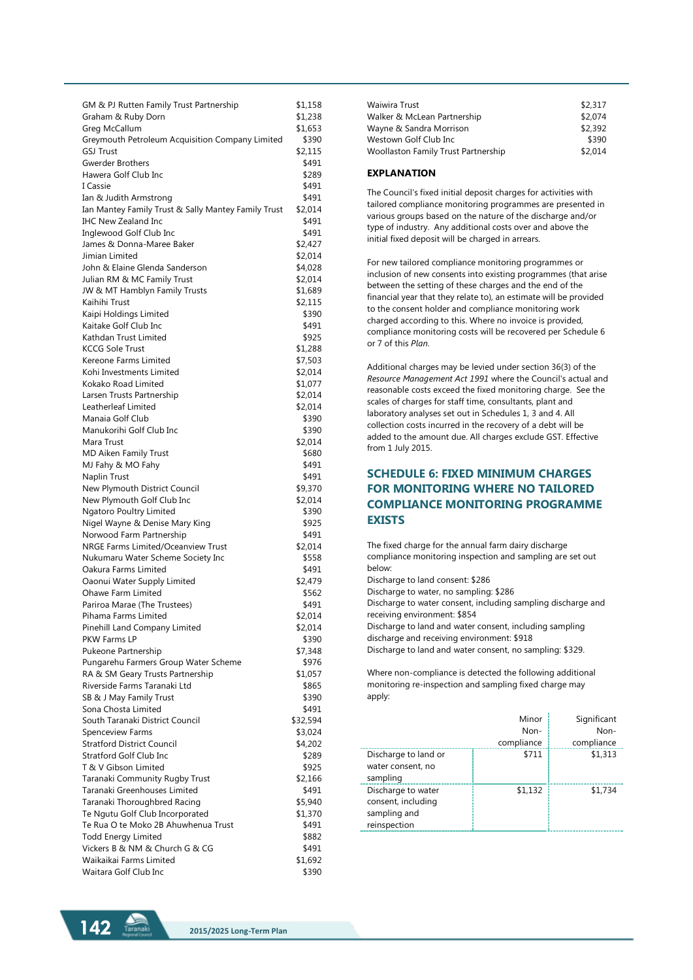| GM & PJ Rutten Family Trust Partnership             | \$1,158  |
|-----------------------------------------------------|----------|
| Graham & Ruby Dorn                                  | \$1,238  |
| Greg McCallum                                       | \$1,653  |
| Greymouth Petroleum Acquisition Company Limited     | \$390    |
| <b>GSJ Trust</b>                                    | \$2,115  |
|                                                     |          |
| <b>Gwerder Brothers</b>                             | \$491    |
| Hawera Golf Club Inc                                | \$289    |
| I Cassie                                            | \$491    |
| Ian & Judith Armstrong                              | \$491    |
| Ian Mantey Family Trust & Sally Mantey Family Trust | \$2,014  |
| <b>IHC New Zealand Inc</b>                          | \$491    |
|                                                     |          |
| Inglewood Golf Club Inc                             | \$491    |
| James & Donna-Maree Baker                           | \$2,427  |
| Jimian Limited                                      | \$2,014  |
| John & Elaine Glenda Sanderson                      | \$4,028  |
| Julian RM & MC Family Trust                         | \$2,014  |
| JW & MT Hamblyn Family Trusts                       | \$1,689  |
|                                                     |          |
| Kaihihi Trust                                       | \$2,115  |
| Kaipi Holdings Limited                              | \$390    |
| Kaitake Golf Club Inc                               | \$491    |
| Kathdan Trust Limited                               | \$925    |
| <b>KCCG Sole Trust</b>                              | \$1,288  |
| Kereone Farms Limited                               | \$7,503  |
| Kohi Investments Limited                            |          |
|                                                     | \$2,014  |
| Kokako Road Limited                                 | \$1,077  |
| Larsen Trusts Partnership                           | \$2,014  |
| Leatherleaf Limited                                 | \$2,014  |
| Manaia Golf Club                                    | \$390    |
| Manukorihi Golf Club Inc                            | \$390    |
| Mara Trust                                          | \$2,014  |
| MD Aiken Family Trust                               | \$680    |
| MJ Fahy & MO Fahy                                   | \$491    |
| Naplin Trust                                        | \$491    |
|                                                     |          |
| New Plymouth District Council                       | \$9,370  |
| New Plymouth Golf Club Inc                          | \$2,014  |
| Ngatoro Poultry Limited                             | \$390    |
| Nigel Wayne & Denise Mary King                      | \$925    |
| Norwood Farm Partnership                            | \$491    |
| NRGE Farms Limited/Oceanview Trust                  | \$2,014  |
| Nukumaru Water Scheme Society Inc                   | \$558    |
| Oakura Farms Limited                                | \$491    |
| Oaonui Water Supply Limited                         | \$2,479  |
| Ohawe Farm Limited                                  |          |
|                                                     | \$562    |
| Pariroa Marae (The Trustees)                        | \$491    |
| Pihama Farms Limited                                | \$2,014  |
| Pinehill Land Company Limited                       | \$2,014  |
| PKW Farms LP                                        | \$390    |
| Pukeone Partnership                                 | \$7,348  |
| Pungarehu Farmers Group Water Scheme                | \$976    |
| RA & SM Geary Trusts Partnership                    | \$1,057  |
| Riverside Farms Taranaki Ltd                        | \$865    |
|                                                     |          |
| SB & J May Family Trust                             | \$390    |
| Sona Chosta Limited                                 | \$491    |
| South Taranaki District Council                     | \$32,594 |
| Spenceview Farms                                    | \$3,024  |
| <b>Stratford District Council</b>                   | \$4,202  |
| <b>Stratford Golf Club Inc</b>                      | \$289    |
| T & V Gibson Limited                                | \$925    |
| Taranaki Community Rugby Trust                      | \$2,166  |
| Taranaki Greenhouses Limited                        | \$491    |
| Taranaki Thoroughbred Racing                        | \$5,940  |
| Te Ngutu Golf Club Incorporated                     | \$1,370  |
|                                                     |          |
| Te Rua O te Moko 2B Ahuwhenua Trust                 | \$491    |
| <b>Todd Energy Limited</b>                          | \$882    |
| Vickers B & NM & Church G & CG                      | \$491    |
| Waikaikai Farms Limited                             | \$1,692  |
| Waitara Golf Club Inc                               | \$390    |

| Waiwira Trust                       | \$2,317 |
|-------------------------------------|---------|
| Walker & McLean Partnership         | \$2,074 |
| Wayne & Sandra Morrison             | \$2,392 |
| Westown Golf Club Inc               | \$390   |
| Woollaston Family Trust Partnership | \$2,014 |

### **EXPLANATION**

The Council's fixed initial deposit charges for activities with tailored compliance monitoring programmes are presented in various groups based on the nature of the discharge and/or type of industry. Any additional costs over and above the initial fixed deposit will be charged in arrears.

For new tailored compliance monitoring programmes or inclusion of new consents into existing programmes (that arise between the setting of these charges and the end of the financial year that they relate to), an estimate will be provided to the consent holder and compliance monitoring work charged according to this. Where no invoice is provided, compliance monitoring costs will be recovered per Schedule 6 or 7 of this *Plan*.

Additional charges may be levied under section 36(3) of the *Resource Management Act 1991* where the Council's actual and reasonable costs exceed the fixed monitoring charge. See the scales of charges for staff time, consultants, plant and laboratory analyses set out in Schedules 1, 3 and 4. All collection costs incurred in the recovery of a debt will be added to the amount due. All charges exclude GST. Effective from 1 July 2015.

# **SCHEDULE 6: FIXED MINIMUM CHARGES FOR MONITORING WHERE NO TAILORED COMPLIANCE MONITORING PROGRAMME EXISTS**

The fixed charge for the annual farm dairy discharge compliance monitoring inspection and sampling are set out below:

Discharge to land consent: \$286

Discharge to water, no sampling: \$286 Discharge to water consent, including sampling discharge and receiving environment: \$854

Discharge to land and water consent, including sampling discharge and receiving environment: \$918

Discharge to land and water consent, no sampling: \$329.

Where non-compliance is detected the following additional monitoring re-inspection and sampling fixed charge may apply:

|                                                                          | Minor<br>Non-<br>compliance | Significant<br>Non-<br>compliance |
|--------------------------------------------------------------------------|-----------------------------|-----------------------------------|
| Discharge to land or<br>water consent, no<br>sampling                    | \$711                       | \$1,313                           |
| Discharge to water<br>consent, including<br>sampling and<br>reinspection | \$1,132                     | \$1,734                           |

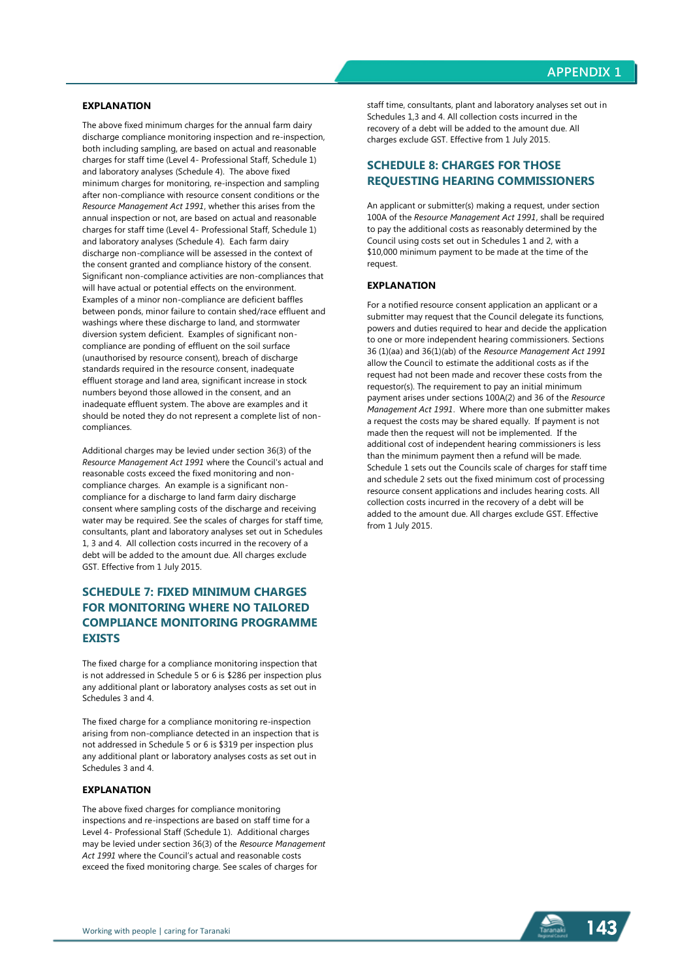### **EXPLANATION**

The above fixed minimum charges for the annual farm dairy discharge compliance monitoring inspection and re-inspection, both including sampling, are based on actual and reasonable charges for staff time (Level 4- Professional Staff, Schedule 1) and laboratory analyses (Schedule 4). The above fixed minimum charges for monitoring, re-inspection and sampling after non-compliance with resource consent conditions or the *Resource Management Act 1991*, whether this arises from the annual inspection or not, are based on actual and reasonable charges for staff time (Level 4- Professional Staff, Schedule 1) and laboratory analyses (Schedule 4). Each farm dairy discharge non-compliance will be assessed in the context of the consent granted and compliance history of the consent. Significant non-compliance activities are non-compliances that will have actual or potential effects on the environment. Examples of a minor non-compliance are deficient baffles between ponds, minor failure to contain shed/race effluent and washings where these discharge to land, and stormwater diversion system deficient. Examples of significant noncompliance are ponding of effluent on the soil surface (unauthorised by resource consent), breach of discharge standards required in the resource consent, inadequate effluent storage and land area, significant increase in stock numbers beyond those allowed in the consent, and an inadequate effluent system. The above are examples and it should be noted they do not represent a complete list of noncompliances.

Additional charges may be levied under section 36(3) of the *Resource Management Act 1991* where the Council's actual and reasonable costs exceed the fixed monitoring and noncompliance charges. An example is a significant noncompliance for a discharge to land farm dairy discharge consent where sampling costs of the discharge and receiving water may be required. See the scales of charges for staff time. consultants, plant and laboratory analyses set out in Schedules 1, 3 and 4. All collection costs incurred in the recovery of a debt will be added to the amount due. All charges exclude GST. Effective from 1 July 2015.

# **SCHEDULE 7: FIXED MINIMUM CHARGES FOR MONITORING WHERE NO TAILORED COMPLIANCE MONITORING PROGRAMME EXISTS**

The fixed charge for a compliance monitoring inspection that is not addressed in Schedule 5 or 6 is \$286 per inspection plus any additional plant or laboratory analyses costs as set out in Schedules 3 and 4.

The fixed charge for a compliance monitoring re-inspection arising from non-compliance detected in an inspection that is not addressed in Schedule 5 or 6 is \$319 per inspection plus any additional plant or laboratory analyses costs as set out in Schedules 3 and 4.

#### **EXPLANATION**

The above fixed charges for compliance monitoring inspections and re-inspections are based on staff time for a Level 4- Professional Staff (Schedule 1). Additional charges may be levied under section 36(3) of the *Resource Management Act 1991* where the Council's actual and reasonable costs exceed the fixed monitoring charge. See scales of charges for

staff time, consultants, plant and laboratory analyses set out in Schedules 1,3 and 4. All collection costs incurred in the recovery of a debt will be added to the amount due. All charges exclude GST. Effective from 1 July 2015.

## **SCHEDULE 8: CHARGES FOR THOSE REQUESTING HEARING COMMISSIONERS**

An applicant or submitter(s) making a request, under section 100A of the *Resource Management Act 1991*, shall be required to pay the additional costs as reasonably determined by the Council using costs set out in Schedules 1 and 2, with a \$10,000 minimum payment to be made at the time of the request.

### **EXPLANATION**

For a notified resource consent application an applicant or a submitter may request that the Council delegate its functions, powers and duties required to hear and decide the application to one or more independent hearing commissioners. Sections 36 (1)(aa) and 36(1)(ab) of the *Resource Management Act 1991* allow the Council to estimate the additional costs as if the request had not been made and recover these costs from the requestor(s). The requirement to pay an initial minimum payment arises under sections 100A(2) and 36 of the *Resource Management Act 1991*. Where more than one submitter makes a request the costs may be shared equally. If payment is not made then the request will not be implemented. If the additional cost of independent hearing commissioners is less than the minimum payment then a refund will be made. Schedule 1 sets out the Councils scale of charges for staff time and schedule 2 sets out the fixed minimum cost of processing resource consent applications and includes hearing costs. All collection costs incurred in the recovery of a debt will be added to the amount due. All charges exclude GST. Effective from 1 July 2015.